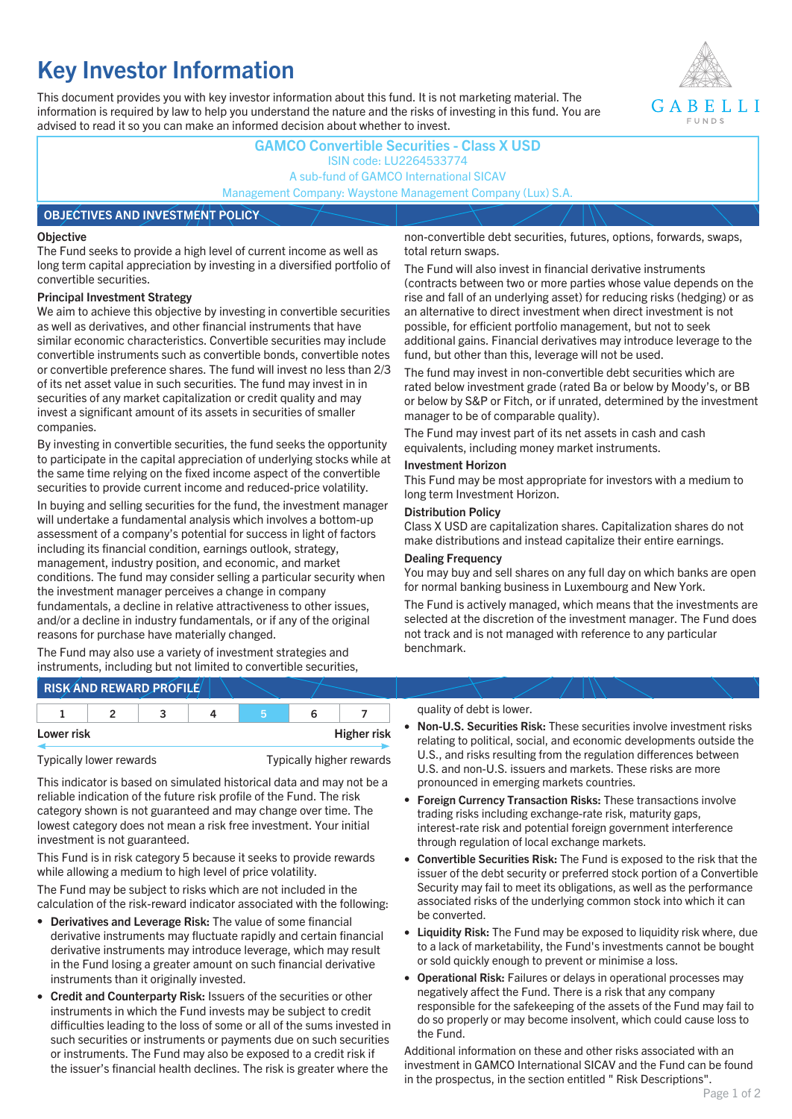# **Key Investor Information**

This document provides you with key investor information about this fund. It is not marketing material. The information is required by law to help you understand the nature and the risks of investing in this fund. You are advised to read it so you can make an informed decision about whether to invest.



### **GAMCO Convertible Securities - Class X USD** ISIN code: LU2264533774 A sub-fund of GAMCO International SICAV Management Company: Waystone Management Company (Lux) S.A.

#### **OBJECTIVES AND INVESTMENT POLICY**

#### **Objective**

The Fund seeks to provide a high level of current income as well as long term capital appreciation by investing in a diversified portfolio of convertible securities.

#### **Principal Investment Strategy**

We aim to achieve this objective by investing in convertible securities as well as derivatives, and other financial instruments that have similar economic characteristics. Convertible securities may include convertible instruments such as convertible bonds, convertible notes or convertible preference shares. The fund will invest no less than 2/3 of its net asset value in such securities. The fund may invest in in securities of any market capitalization or credit quality and may invest a significant amount of its assets in securities of smaller companies.

By investing in convertible securities, the fund seeks the opportunity to participate in the capital appreciation of underlying stocks while at the same time relying on the fixed income aspect of the convertible securities to provide current income and reduced-price volatility.

In buying and selling securities for the fund, the investment manager will undertake a fundamental analysis which involves a bottom-up assessment of a company's potential for success in light of factors including its financial condition, earnings outlook, strategy, management, industry position, and economic, and market conditions. The fund may consider selling a particular security when the investment manager perceives a change in company fundamentals, a decline in relative attractiveness to other issues, and/or a decline in industry fundamentals, or if any of the original reasons for purchase have materially changed.

The Fund may also use a variety of investment strategies and instruments, including but not limited to convertible securities, non-convertible debt securities, futures, options, forwards, swaps, total return swaps.

The Fund will also invest in financial derivative instruments (contracts between two or more parties whose value depends on the rise and fall of an underlying asset) for reducing risks (hedging) or as an alternative to direct investment when direct investment is not possible, for efficient portfolio management, but not to seek additional gains. Financial derivatives may introduce leverage to the fund, but other than this, leverage will not be used.

The fund may invest in non-convertible debt securities which are rated below investment grade (rated Ba or below by Moody's, or BB or below by S&P or Fitch, or if unrated, determined by the investment manager to be of comparable quality).

The Fund may invest part of its net assets in cash and cash equivalents, including money market instruments.

#### **Investment Horizon**

This Fund may be most appropriate for investors with a medium to long term Investment Horizon.

#### **Distribution Policy**

Class X USD are capitalization shares. Capitalization shares do not make distributions and instead capitalize their entire earnings.

#### **Dealing Frequency**

You may buy and sell shares on any full day on which banks are open for normal banking business in Luxembourg and New York.

The Fund is actively managed, which means that the investments are selected at the discretion of the investment manager. The Fund does not track and is not managed with reference to any particular benchmark.

## **RISK AND REWARD PROFILE**

|            |  | ∽ |  |                    |
|------------|--|---|--|--------------------|
| Lower risk |  |   |  | <b>Higher risk</b> |

Typically lower rewards Typically higher rewards

This indicator is based on simulated historical data and may not be a reliable indication of the future risk profile of the Fund. The risk category shown is not guaranteed and may change over time. The lowest category does not mean a risk free investment. Your initial investment is not guaranteed.

This Fund is in risk category 5 because it seeks to provide rewards while allowing a medium to high level of price volatility.

The Fund may be subject to risks which are not included in the calculation of the risk-reward indicator associated with the following:

- **Derivatives and Leverage Risk:** The value of some financial derivative instruments may fluctuate rapidly and certain financial derivative instruments may introduce leverage, which may result in the Fund losing a greater amount on such financial derivative instruments than it originally invested.
- **Credit and Counterparty Risk:** Issuers of the securities or other instruments in which the Fund invests may be subject to credit difficulties leading to the loss of some or all of the sums invested in such securities or instruments or payments due on such securities or instruments. The Fund may also be exposed to a credit risk if the issuer's financial health declines. The risk is greater where the

#### quality of debt is lower.

- **Non-U.S. Securities Risk:** These securities involve investment risks relating to political, social, and economic developments outside the U.S., and risks resulting from the regulation differences between U.S. and non-U.S. issuers and markets. These risks are more pronounced in emerging markets countries.
- **Foreign Currency Transaction Risks:** These transactions involve trading risks including exchange-rate risk, maturity gaps, interest-rate risk and potential foreign government interference through regulation of local exchange markets.
- **Convertible Securities Risk:** The Fund is exposed to the risk that the issuer of the debt security or preferred stock portion of a Convertible Security may fail to meet its obligations, as well as the performance associated risks of the underlying common stock into which it can be converted.
- **Liquidity Risk:** The Fund may be exposed to liquidity risk where, due to a lack of marketability, the Fund's investments cannot be bought or sold quickly enough to prevent or minimise a loss.
- **Operational Risk:** Failures or delays in operational processes may negatively affect the Fund. There is a risk that any company responsible for the safekeeping of the assets of the Fund may fail to do so properly or may become insolvent, which could cause loss to the Fund.

Additional information on these and other risks associated with an investment in GAMCO International SICAV and the Fund can be found in the prospectus, in the section entitled " Risk Descriptions".